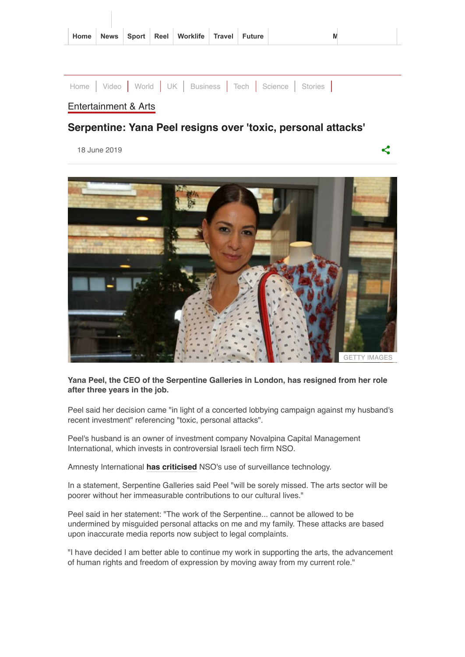| Home News Sport Reel Worklife Travel Future |
|---------------------------------------------|
|---------------------------------------------|

|                      |  | Home   Video   World   UK   Business   Tech   Science   Stories |  |  |
|----------------------|--|-----------------------------------------------------------------|--|--|
| Entertainment & Arts |  |                                                                 |  |  |

ぐ

## **Serpentine: Yana Peel resigns over 'toxic, personal attacks'**

18 June 2019



#### **Yana Peel, the CEO of the Serpentine Galleries in London, has resigned from her role after three years in the job.**

Peel said her decision came "in light of a concerted lobbying campaign against my husband's recent investment" referencing "toxic, personal attacks".

Peel's husband is an owner of investment company Novalpina Capital Management International, which invests in controversial Israeli tech firm NSO.

Amnesty International **[has criticised](https://www.amnesty.org/en/latest/research/2019/04/second-open-letter-to-novalpina-capital-nso-group-francisco-partners/)** NSO's use of surveillance technology.

In a statement, Serpentine Galleries said Peel "will be sorely missed. The arts sector will be poorer without her immeasurable contributions to our cultural lives."

Peel said in her statement: "The work of the Serpentine... cannot be allowed to be undermined by misguided personal attacks on me and my family. These attacks are based upon inaccurate media reports now subject to legal complaints.

"I have decided I am better able to continue my work in supporting the arts, the advancement of human rights and freedom of expression by moving away from my current role."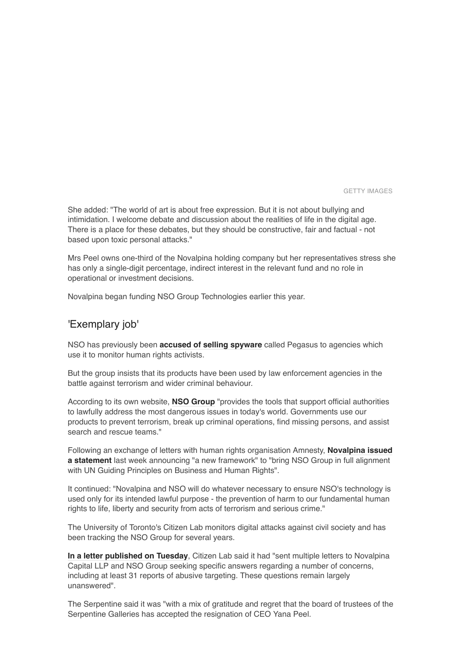GETTY IMAGES

She added: "The world of art is about free expression. But it is not about bullying and intimidation. I welcome debate and discussion about the realities of life in the digital age. There is a place for these debates, but they should be constructive, fair and factual - not based upon toxic personal attacks."

Mrs Peel owns one-third of the Novalpina holding company but her representatives stress she has only a single-digit percentage, indirect interest in the relevant fund and no role in operational or investment decisions.

Novalpina began funding NSO Group Technologies earlier this year.

### 'Exemplary job'

NSO has previously been **[accused of selling spyware](https://www.bbc.co.uk/news/technology-48309518)** called Pegasus to agencies which use it to monitor human rights activists.

But the group insists that its products have been used by law enforcement agencies in the battle against terrorism and wider criminal behaviour.

According to its own website, **[NSO Group](https://www.nsogroup.com/about/)** "provides the tools that support official authorities to lawfully address the most dangerous issues in today's world. Governments use our products to prevent terrorism, break up criminal operations, find missing persons, and assist search and rescue teams."

Following an exchange of letters with human rights organisation Amnesty, **Novalpina issued a statement** [last week announcing "a new framework" to "bring NSO Group in full alignment](https://www.novalpina.pe/novalpina-capital-llp-to-unveil-new-governance-framework-at-nso-group-within-90-days/) with UN Guiding Principles on Business and Human Rights".

It continued: "Novalpina and NSO will do whatever necessary to ensure NSO's technology is used only for its intended lawful purpose - the prevention of harm to our fundamental human rights to life, liberty and security from acts of terrorism and serious crime."

The University of Toronto's Citizen Lab monitors digital attacks against civil society and has been tracking the NSO Group for several years.

**[In a letter published on Tuesday](https://citizenlab.ca/2019/06/letter-to-novalpina-regarding-statement-on-un-guiding-principles/)**, Citizen Lab said it had "sent multiple letters to Novalpina Capital LLP and NSO Group seeking specific answers regarding a number of concerns, including at least 31 reports of abusive targeting. These questions remain largely unanswered".

The Serpentine said it was "with a mix of gratitude and regret that the board of trustees of the Serpentine Galleries has accepted the resignation of CEO Yana Peel.